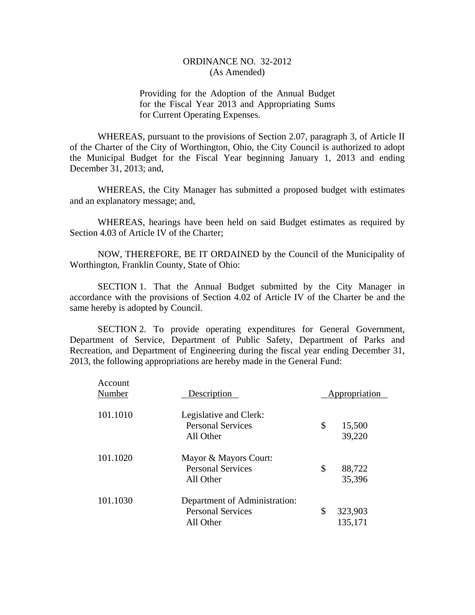Providing for the Adoption of the Annual Budget for the Fiscal Year 2013 and Appropriating Sums for Current Operating Expenses.

WHEREAS, pursuant to the provisions of Section 2.07, paragraph 3, of Article II of the Charter of the City of Worthington, Ohio, the City Council is authorized to adopt the Municipal Budget for the Fiscal Year beginning January 1, 2013 and ending December 31, 2013; and,

WHEREAS, the City Manager has submitted a proposed budget with estimates and an explanatory message; and,

WHEREAS, hearings have been held on said Budget estimates as required by Section 4.03 of Article IV of the Charter;

NOW, THEREFORE, BE IT ORDAINED by the Council of the Municipality of Worthington, Franklin County, State of Ohio:

SECTION 1. That the Annual Budget submitted by the City Manager in accordance with the provisions of Section 4.02 of Article IV of the Charter be and the same hereby is adopted by Council.

SECTION 2. To provide operating expenditures for General Government, Department of Service, Department of Public Safety, Department of Parks and Recreation, and Department of Engineering during the fiscal year ending December 31, 2013, the following appropriations are hereby made in the General Fund:

| Account<br>Number | Description                                                            | Appropriation            |
|-------------------|------------------------------------------------------------------------|--------------------------|
| 101.1010          | Legislative and Clerk:<br><b>Personal Services</b><br>All Other        | \$<br>15,500<br>39,220   |
| 101.1020          | Mayor & Mayors Court:<br><b>Personal Services</b><br>All Other         | \$<br>88,722<br>35,396   |
| 101.1030          | Department of Administration:<br><b>Personal Services</b><br>All Other | \$<br>323,903<br>135,171 |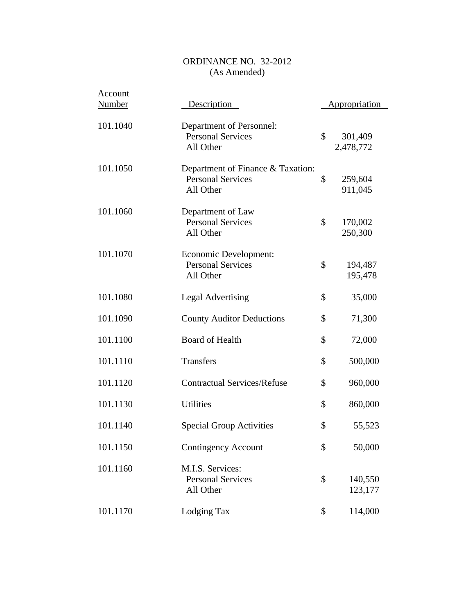| Account<br><b>Number</b> | Description                                                                | Appropriation              |
|--------------------------|----------------------------------------------------------------------------|----------------------------|
| 101.1040                 | Department of Personnel:<br><b>Personal Services</b><br>All Other          | \$<br>301,409<br>2,478,772 |
| 101.1050                 | Department of Finance & Taxation:<br><b>Personal Services</b><br>All Other | \$<br>259,604<br>911,045   |
| 101.1060                 | Department of Law<br><b>Personal Services</b><br>All Other                 | \$<br>170,002<br>250,300   |
| 101.1070                 | Economic Development:<br><b>Personal Services</b><br>All Other             | \$<br>194,487<br>195,478   |
| 101.1080                 | <b>Legal Advertising</b>                                                   | \$<br>35,000               |
| 101.1090                 | <b>County Auditor Deductions</b>                                           | \$<br>71,300               |
| 101.1100                 | <b>Board of Health</b>                                                     | \$<br>72,000               |
| 101.1110                 | Transfers                                                                  | \$<br>500,000              |
| 101.1120                 | <b>Contractual Services/Refuse</b>                                         | \$<br>960,000              |
| 101.1130                 | <b>Utilities</b>                                                           | \$<br>860,000              |
| 101.1140                 | <b>Special Group Activities</b>                                            | \$<br>55,523               |
| 101.1150                 | <b>Contingency Account</b>                                                 | \$<br>50,000               |
| 101.1160                 | M.I.S. Services:<br><b>Personal Services</b><br>All Other                  | \$<br>140,550<br>123,177   |
| 101.1170                 | Lodging Tax                                                                | \$<br>114,000              |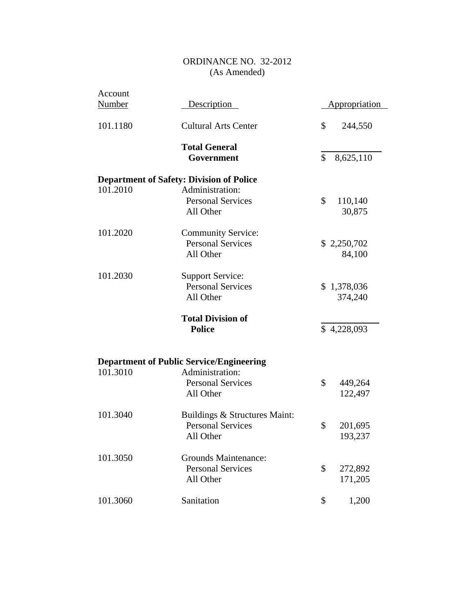| Account<br><b>Number</b> | <b>Description</b>                                                     |              | <u>Appropriation</u>   |
|--------------------------|------------------------------------------------------------------------|--------------|------------------------|
| 101.1180                 | <b>Cultural Arts Center</b>                                            | \$           | 244,550                |
|                          | <b>Total General</b><br>Government                                     | $\mathbb{S}$ | 8,625,110              |
|                          | <b>Department of Safety: Division of Police</b>                        |              |                        |
| 101.2010                 | Administration:<br><b>Personal Services</b><br>All Other               | \$           | 110,140<br>30,875      |
| 101.2020                 | <b>Community Service:</b><br><b>Personal Services</b><br>All Other     |              | \$2,250,702<br>84,100  |
| 101.2030                 | <b>Support Service:</b><br><b>Personal Services</b><br>All Other       |              | \$1,378,036<br>374,240 |
|                          | <b>Total Division of</b><br><b>Police</b>                              |              | \$4,228,093            |
| 101.3010                 | <b>Department of Public Service/Engineering</b><br>Administration:     |              |                        |
|                          | <b>Personal Services</b><br>All Other                                  | \$           | 449,264<br>122,497     |
| 101.3040                 | Buildings & Structures Maint:<br><b>Personal Services</b><br>All Other | \$           | 201,695<br>193,237     |
| 101.3050                 | <b>Grounds Maintenance:</b><br><b>Personal Services</b><br>All Other   | \$           | 272,892<br>171,205     |
| 101.3060                 | Sanitation                                                             | \$           | 1,200                  |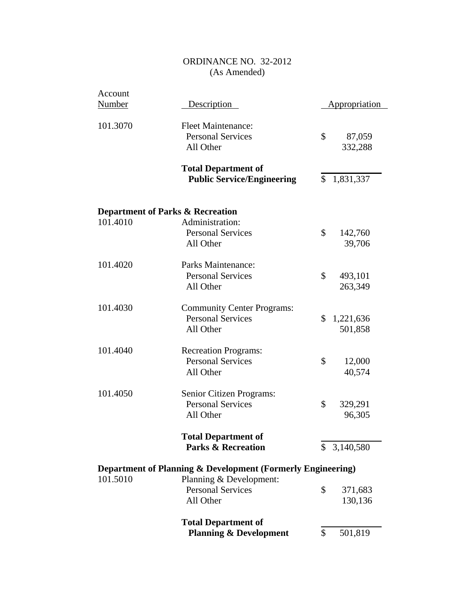| Account       |                                                                            |                            |
|---------------|----------------------------------------------------------------------------|----------------------------|
| <b>Number</b> | <b>Description</b>                                                         | <b>Appropriation</b>       |
| 101.3070      | <b>Fleet Maintenance:</b><br><b>Personal Services</b><br>All Other         | \$<br>87,059<br>332,288    |
|               | <b>Total Department of</b><br><b>Public Service/Engineering</b>            | \$<br>1,831,337            |
|               | <b>Department of Parks &amp; Recreation</b>                                |                            |
| 101.4010      | Administration:<br><b>Personal Services</b><br>All Other                   | \$<br>142,760<br>39,706    |
| 101.4020      | Parks Maintenance:<br><b>Personal Services</b><br>All Other                | \$<br>493,101<br>263,349   |
| 101.4030      | <b>Community Center Programs:</b><br><b>Personal Services</b><br>All Other | \$<br>1,221,636<br>501,858 |
| 101.4040      | <b>Recreation Programs:</b><br><b>Personal Services</b><br>All Other       | \$<br>12,000<br>40,574     |
| 101.4050      | Senior Citizen Programs:<br><b>Personal Services</b><br>All Other          | \$<br>329,291<br>96,305    |
|               | <b>Total Department of</b><br><b>Parks &amp; Recreation</b>                | \$<br>3,140,580            |
|               | Department of Planning & Development (Formerly Engineering)                |                            |
| 101.5010      | Planning & Development:<br><b>Personal Services</b><br>All Other           | \$<br>371,683<br>130,136   |
|               | <b>Total Department of</b><br><b>Planning &amp; Development</b>            | \$<br>501,819              |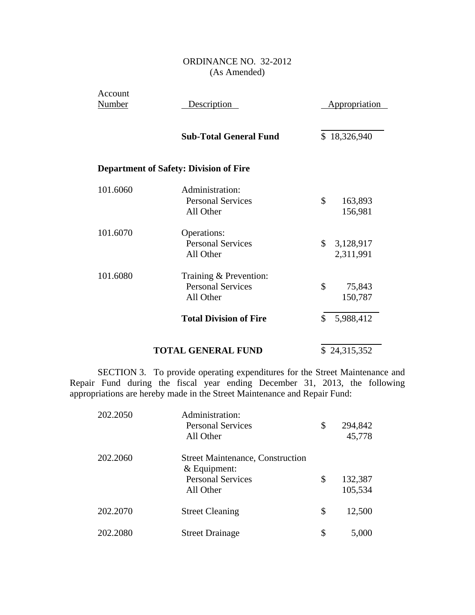| Account<br><b>Number</b> | Description                                                     | <b>Appropriation</b>         |  |
|--------------------------|-----------------------------------------------------------------|------------------------------|--|
|                          | <b>Sub-Total General Fund</b>                                   | \$18,326,940                 |  |
|                          | <b>Department of Safety: Division of Fire</b>                   |                              |  |
| 101.6060                 | Administration:<br><b>Personal Services</b><br>All Other        | \$<br>163,893<br>156,981     |  |
| 101.6070                 | Operations:<br><b>Personal Services</b><br>All Other            | \$<br>3,128,917<br>2,311,991 |  |
| 101.6080                 | Training & Prevention:<br><b>Personal Services</b><br>All Other | \$<br>75,843<br>150,787      |  |
|                          | <b>Total Division of Fire</b>                                   | 5,988,412<br>\$              |  |
|                          | <b>TOTAL GENERAL FUND</b>                                       | \$24,315,352                 |  |

SECTION 3. To provide operating expenditures for the Street Maintenance and Repair Fund during the fiscal year ending December 31, 2013, the following appropriations are hereby made in the Street Maintenance and Repair Fund:

| 202.2050 | Administration:<br><b>Personal Services</b><br>All Other                                         | \$<br>294,842<br>45,778  |
|----------|--------------------------------------------------------------------------------------------------|--------------------------|
| 202.2060 | <b>Street Maintenance, Construction</b><br>& Equipment:<br><b>Personal Services</b><br>All Other | \$<br>132,387<br>105,534 |
| 202.2070 | <b>Street Cleaning</b>                                                                           | \$<br>12,500             |
| 202.2080 | <b>Street Drainage</b>                                                                           | \$<br>5,000              |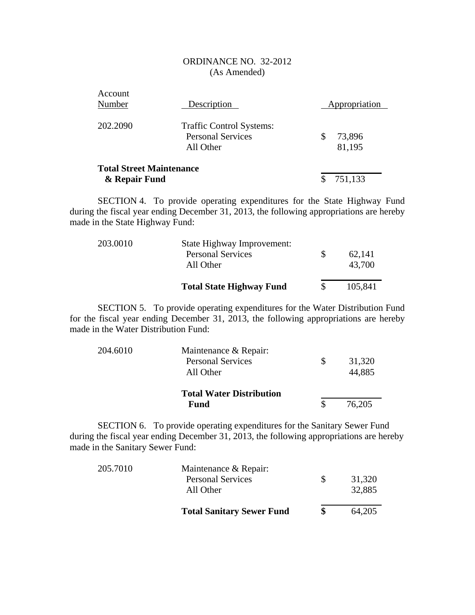| Account<br>Number                                | Description                                                              | Appropriation          |
|--------------------------------------------------|--------------------------------------------------------------------------|------------------------|
| 202.2090                                         | <b>Traffic Control Systems:</b><br><b>Personal Services</b><br>All Other | \$<br>73,896<br>81,195 |
| <b>Total Street Maintenance</b><br>& Repair Fund |                                                                          | 751,133                |

SECTION 4. To provide operating expenditures for the State Highway Fund during the fiscal year ending December 31, 2013, the following appropriations are hereby made in the State Highway Fund:

| 203.0010 | State Highway Improvement:<br><b>Personal Services</b><br>All Other | 62,141<br>43,700 |
|----------|---------------------------------------------------------------------|------------------|
|          | <b>Total State Highway Fund</b>                                     | 105,841          |

SECTION 5. To provide operating expenditures for the Water Distribution Fund for the fiscal year ending December 31, 2013, the following appropriations are hereby made in the Water Distribution Fund:

| 204.6010 | Maintenance & Repair:           |        |
|----------|---------------------------------|--------|
|          | <b>Personal Services</b>        | 31,320 |
|          | All Other                       | 44,885 |
|          | <b>Total Water Distribution</b> |        |
|          | Fund                            | 76,205 |

SECTION 6. To provide operating expenditures for the Sanitary Sewer Fund during the fiscal year ending December 31, 2013, the following appropriations are hereby made in the Sanitary Sewer Fund:

| 205.7010 | Maintenance & Repair:<br><b>Personal Services</b><br>All Other | SS. | 31,320<br>32,885 |
|----------|----------------------------------------------------------------|-----|------------------|
|          | <b>Total Sanitary Sewer Fund</b>                               |     | 64,205           |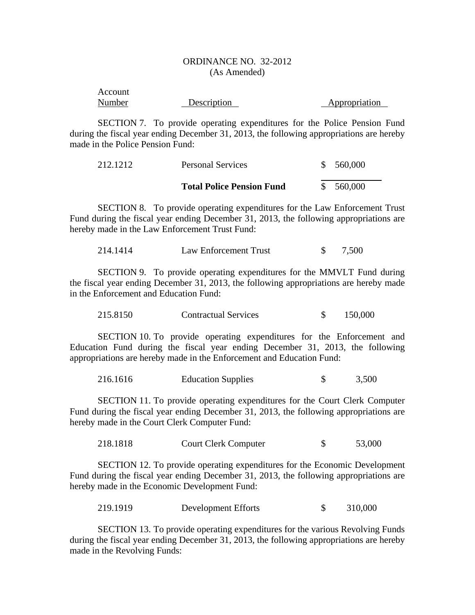| Account |             |               |
|---------|-------------|---------------|
| Number  | Description | Appropriation |

SECTION 7. To provide operating expenditures for the Police Pension Fund during the fiscal year ending December 31, 2013, the following appropriations are hereby made in the Police Pension Fund:

| 212.1212 | <b>Personal Services</b>         | \$560,000 |  |
|----------|----------------------------------|-----------|--|
|          | <b>Total Police Pension Fund</b> | \$560,000 |  |

SECTION 8. To provide operating expenditures for the Law Enforcement Trust Fund during the fiscal year ending December 31, 2013, the following appropriations are hereby made in the Law Enforcement Trust Fund:

| 214.1414 | Law Enforcement Trust |  | 7,500 |
|----------|-----------------------|--|-------|
|----------|-----------------------|--|-------|

SECTION 9. To provide operating expenditures for the MMVLT Fund during the fiscal year ending December 31, 2013, the following appropriations are hereby made in the Enforcement and Education Fund:

| 215.8150 | <b>Contractual Services</b> |  | 150,000 |
|----------|-----------------------------|--|---------|
|----------|-----------------------------|--|---------|

SECTION 10. To provide operating expenditures for the Enforcement and Education Fund during the fiscal year ending December 31, 2013, the following appropriations are hereby made in the Enforcement and Education Fund:

| 216.1616 | <b>Education Supplies</b> |  | 3,500 |
|----------|---------------------------|--|-------|
|----------|---------------------------|--|-------|

SECTION 11. To provide operating expenditures for the Court Clerk Computer Fund during the fiscal year ending December 31, 2013, the following appropriations are hereby made in the Court Clerk Computer Fund:

218.1818 Court Clerk Computer \$ 53,000

SECTION 12. To provide operating expenditures for the Economic Development Fund during the fiscal year ending December 31, 2013, the following appropriations are hereby made in the Economic Development Fund:

219.1919 Development Efforts \$ 310,000

SECTION 13. To provide operating expenditures for the various Revolving Funds during the fiscal year ending December 31, 2013, the following appropriations are hereby made in the Revolving Funds: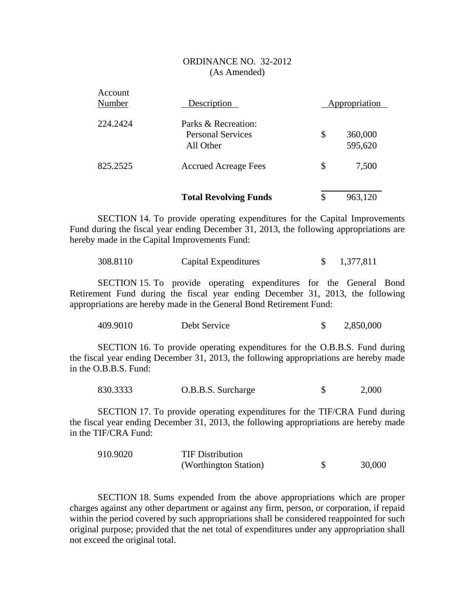|                   | <b>Total Revolving Funds</b>                                 | \$<br>963,120            |
|-------------------|--------------------------------------------------------------|--------------------------|
| 825.2525          | <b>Accrued Acreage Fees</b>                                  | \$<br>7,500              |
| 224.2424          | Parks & Recreation:<br><b>Personal Services</b><br>All Other | \$<br>360,000<br>595,620 |
| Account<br>Number | Description                                                  | Appropriation            |

SECTION 14. To provide operating expenditures for the Capital Improvements Fund during the fiscal year ending December 31, 2013, the following appropriations are hereby made in the Capital Improvements Fund:

308.8110 Capital Expenditures \$ 1,377,811

SECTION 15. To provide operating expenditures for the General Bond Retirement Fund during the fiscal year ending December 31, 2013, the following appropriations are hereby made in the General Bond Retirement Fund:

| 409.9010 | Debt Service |  | 2,850,000 |
|----------|--------------|--|-----------|
|----------|--------------|--|-----------|

SECTION 16. To provide operating expenditures for the O.B.B.S. Fund during the fiscal year ending December 31, 2013, the following appropriations are hereby made in the O.B.B.S. Fund:

| 830.3333 | O.B.B.S. Surcharge |  | 2,000 |
|----------|--------------------|--|-------|
|----------|--------------------|--|-------|

SECTION 17. To provide operating expenditures for the TIF/CRA Fund during the fiscal year ending December 31, 2013, the following appropriations are hereby made in the TIF/CRA Fund:

| 910.9020 | <b>TIF Distribution</b> |        |
|----------|-------------------------|--------|
|          | (Worthington Station)   | 30,000 |

SECTION 18. Sums expended from the above appropriations which are proper charges against any other department or against any firm, person, or corporation, if repaid within the period covered by such appropriations shall be considered reappointed for such original purpose; provided that the net total of expenditures under any appropriation shall not exceed the original total.